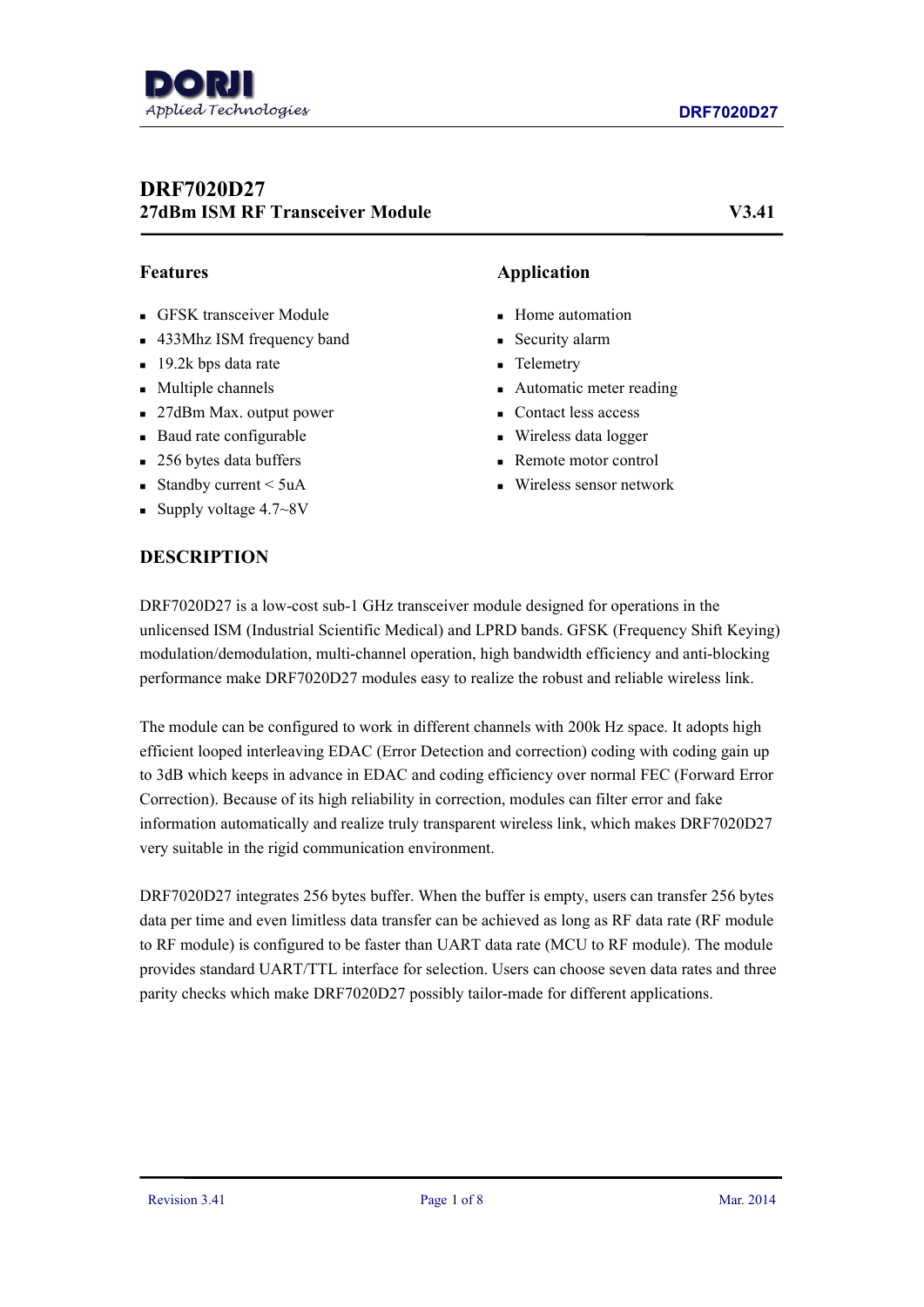# **DRF7020D27 27dBm ISM RF Transceiver Module V3.41**

- GFSK transceiver Module
- 433Mhz ISM frequency band
- 19.2k bps data rate
- **Multiple channels**
- 27dBm Max. output power
- Baud rate configurable
- 256 bytes data buffers
- Standby current  $\leq 5$ uA
- Supply voltage  $4.7~\text{eV}$

## **DESCRIPTION**

## **Features Application**

- **Home** automation
- **Security alarm**
- **Telemetry**
- Automatic meter reading
- Contact less access
- Wireless data logger
- Remote motor control
- Wireless sensor network

DRF7020D27 is a low-cost sub-1 GHz transceiver module designed for operations in the unlicensed ISM (Industrial Scientific Medical) and LPRD bands. GFSK (Frequency Shift Keying) modulation/demodulation, multi-channel operation, high bandwidth efficiency and anti-blocking performance make DRF7020D27 modules easy to realize the robust and reliable wireless link.

The module can be configured to work in different channels with 200k Hz space. It adopts high efficient looped interleaving EDAC (Error Detection and correction) coding with coding gain up to 3dB which keeps in advance in EDAC and coding efficiency over normal FEC (Forward Error Correction). Because of its high reliability in correction, modules can filter error and fake information automatically and realize truly transparent wireless link, which makes DRF7020D27 very suitable in the rigid communication environment.

DRF7020D27 integrates 256 bytes buffer. When the buffer is empty, users can transfer 256 bytes data per time and even limitless data transfer can be achieved as long as RF data rate (RF module to RF module) is configured to be faster than UART data rate (MCU to RF module). The module provides standard UART/TTL interface for selection. Users can choose seven data rates and three parity checks which make DRF7020D27 possibly tailor-made for different applications.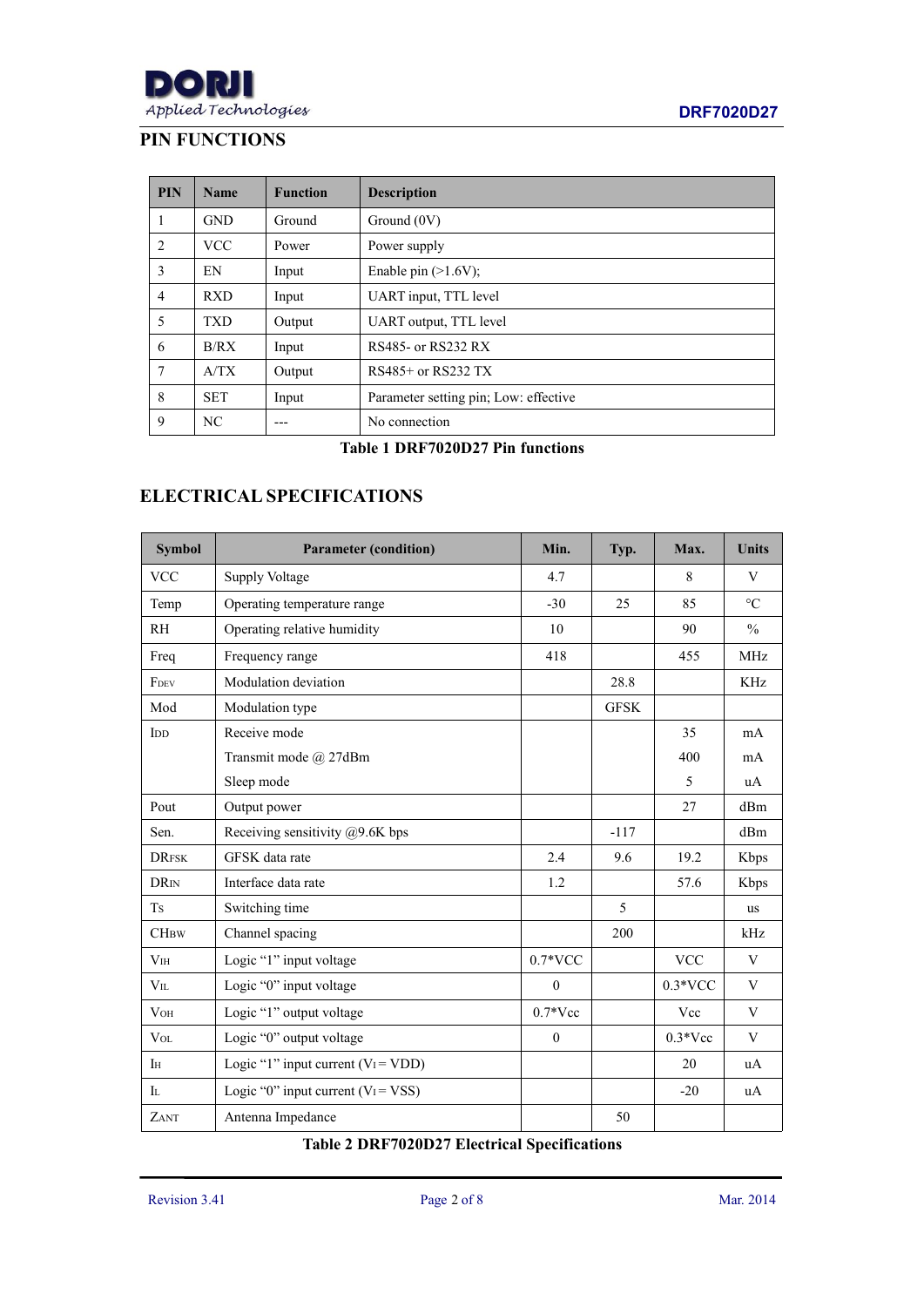# **PIN FUNCTIONS**

| <b>PIN</b>     | <b>Name</b> | <b>Function</b> | <b>Description</b>                    |
|----------------|-------------|-----------------|---------------------------------------|
| 1              | <b>GND</b>  | Ground          | Ground $(0V)$                         |
| 2              | <b>VCC</b>  | Power           | Power supply                          |
| 3              | EN          | Input           | Enable pin $(>1.6V)$ ;                |
| $\overline{4}$ | <b>RXD</b>  | Input           | UART input, TTL level                 |
| 5              | <b>TXD</b>  | Output          | UART output, TTL level                |
| 6              | B/RX        | Input           | RS485- or RS232 RX                    |
| 7              | A/TX        | Output          | RS485+ or RS232 TX                    |
| 8              | <b>SET</b>  | Input           | Parameter setting pin; Low: effective |
| 9              | NC          |                 | No connection                         |

## **Table 1 DRF7020D27 Pin functions**

# **ELECTRICAL SPECIFICATIONS**

| <b>Symbol</b>             | <b>Parameter (condition)</b>          | Min.             | Typ.        | Max.                      | <b>Units</b>            |
|---------------------------|---------------------------------------|------------------|-------------|---------------------------|-------------------------|
| $\ensuremath{\text{VCC}}$ | <b>Supply Voltage</b>                 | 4.7              |             | 8                         | $\ensuremath{\text{V}}$ |
| Temp                      | Operating temperature range           | $-30$            | 25          | 85                        | $\rm ^{\circ}C$         |
| RH                        | Operating relative humidity           | 10               |             | 90                        | $\frac{0}{0}$           |
| Freq                      | Frequency range                       | 418              |             | 455                       | MHz                     |
| FDEV                      | Modulation deviation                  |                  | 28.8        |                           | KHz                     |
| Mod                       | Modulation type                       |                  | <b>GFSK</b> |                           |                         |
| IDD                       | Receive mode                          |                  |             | 35                        | mA                      |
|                           | Transmit mode @ 27dBm                 |                  |             | 400                       | mA                      |
|                           | Sleep mode                            |                  |             | 5                         | uA                      |
| Pout                      | Output power                          |                  |             | 27                        | dBm                     |
| Sen.                      | Receiving sensitivity @9.6K bps       |                  | $-117$      |                           | dBm                     |
| <b>DRFSK</b>              | GFSK data rate                        | 2.4              | 9.6         | 19.2                      | Kbps                    |
| <b>DRIN</b>               | Interface data rate                   | 1.2              |             | 57.6                      | Kbps                    |
| <b>Ts</b>                 | Switching time                        |                  | 5           |                           | us                      |
| CHBW                      | Channel spacing                       |                  | 200         |                           | kHz                     |
| V <sub>IH</sub>           | Logic "1" input voltage               | $0.7*VCC$        |             | $\ensuremath{\text{VCC}}$ | $\ensuremath{\text{V}}$ |
| $V_{IL}$                  | Logic "0" input voltage               | $\mathbf{0}$     |             | $0.3*VCC$                 | V                       |
| V <sub>OH</sub>           | Logic "1" output voltage              | $0.7*Vec$        |             | Vcc                       | V                       |
| $\ensuremath{\text{Vol}}$ | Logic "0" output voltage              | $\boldsymbol{0}$ |             | $0.3*Vec$                 | V                       |
| IH                        | Logic "1" input current $(V_I = VDD)$ |                  |             | 20                        | uA                      |
| $\mathbf{I}$              | Logic "0" input current $(V_I = VSS)$ |                  |             | $-20$                     | uA                      |
| ZANT                      | Antenna Impedance                     |                  | 50          |                           |                         |

## **Table 2 DRF7020D27 Electrical Specifications**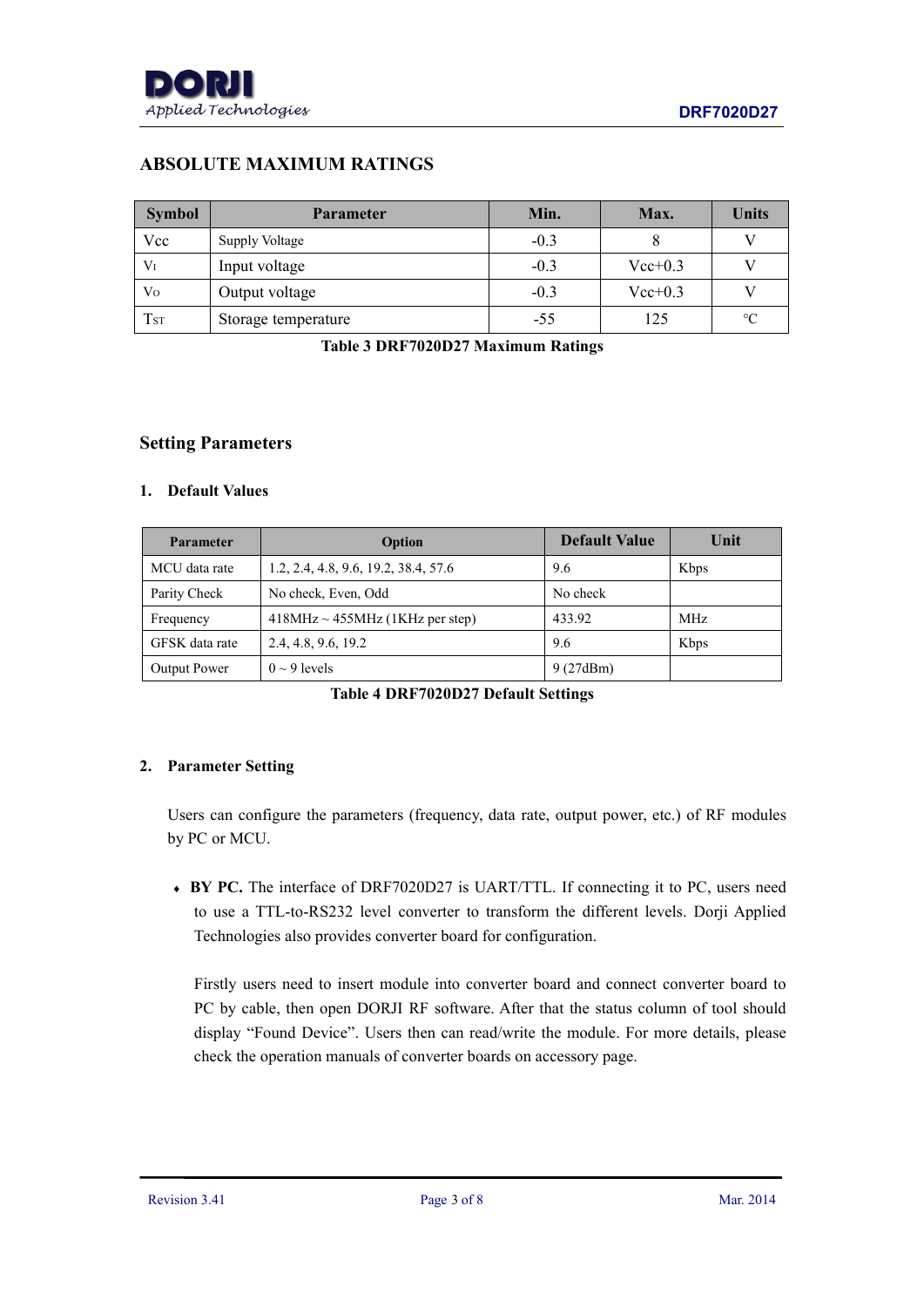

# **ABSOLUTE MAXIMUM RATINGS**

| <b>Symbol</b>   | <b>Parameter</b>    | Min.   | Max.      | <b>Units</b>    |
|-----------------|---------------------|--------|-----------|-----------------|
| Vcc             | Supply Voltage      | $-0.3$ |           |                 |
| $V_I$           | Input voltage       | $-0.3$ | $Vec+0.3$ |                 |
| Vo              | Output voltage      | $-0.3$ | $Vec+0.3$ |                 |
| T <sub>ST</sub> | Storage temperature | $-55$  | 125       | $\rm ^{\circ}C$ |

**Table 3 DRF7020D27 Maximum Ratings**

#### **Setting Parameters**

#### **1. Default Values**

| <b>Parameter</b> | Option                               | <b>Default Value</b> | Unit |
|------------------|--------------------------------------|----------------------|------|
| MCU data rate    | 1.2, 2.4, 4.8, 9.6, 19.2, 38.4, 57.6 | 9.6                  | Kbps |
| Parity Check     | No check, Even, Odd                  | No check             |      |
| Frequency        | $418MHz \sim 455MHz$ (1KHz per step) | 433.92               | MHz  |
| GFSK data rate   | 2.4, 4.8, 9.6, 19.2                  | 9.6                  | Kbps |
| Output Power     | $0 \sim 9$ levels                    | 9(27dBm)             |      |

| Table 4 DRF7020D27 Default Settings |  |
|-------------------------------------|--|
|-------------------------------------|--|

#### **2. Parameter Setting**

Users can configure the parameters (frequency, data rate, output power, etc.) of RF modules by PC or MCU.

 **BY PC.** The interface of DRF7020D27 is UART/TTL. If connecting it to PC, users need to use a TTL-to-RS232 level converter to transform the different levels. Dorji Applied Technologies also provides converter board for configuration.

Firstly users need to insert module into converter board and connect converter board to PC by cable, then open DORJI RF software. After that the status column of tool should display "Found Device". Users then can read/write the module. For more details, please check the operation manuals of converter boards on accessory page.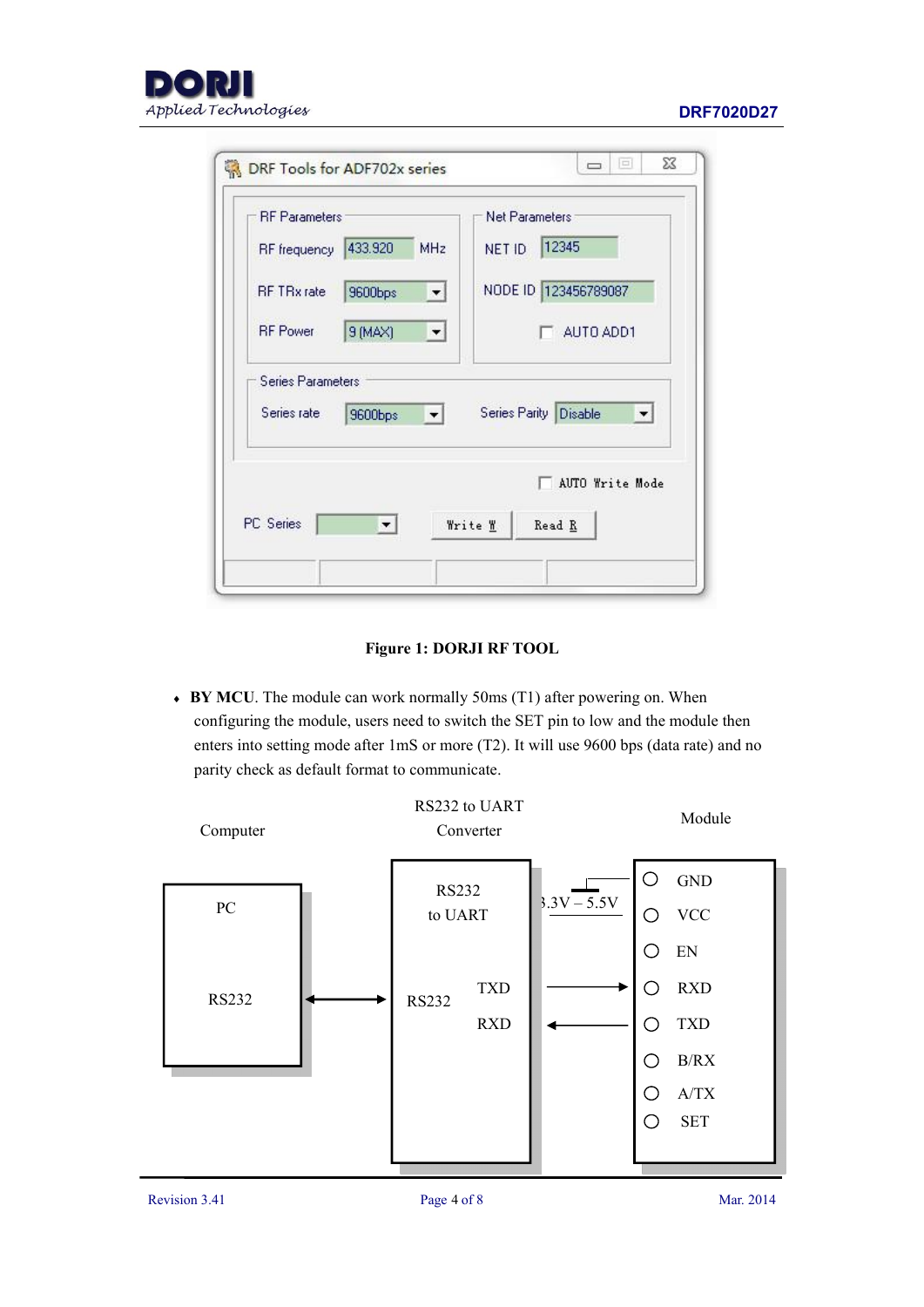



| <b>RF</b> Parameters |         | <b>Net Parameters</b>                                                |
|----------------------|---------|----------------------------------------------------------------------|
| <b>RF</b> frequency  | 433.920 | 12345<br><b>MHz</b><br>NET ID                                        |
| <b>RF TRx</b> rate   | 9600bps | NODE ID 123456789087<br>▾                                            |
| <b>RF</b> Power      | 9 (MAX) | AUTO ADD1                                                            |
| Series Parameters    |         |                                                                      |
| Series rate          | 9600bps | Series Parity Disable<br>$\vert \cdot \vert$<br>$\blacktriangledown$ |
|                      |         | AUTO Write Mode                                                      |
|                      |         |                                                                      |

#### **Figure 1: DORJI RF TOOL**

 **BY MCU**. The module can work normally 50ms (T1) after powering on. When configuring the module, users need to switch the SET pin to low and the module then enters into setting mode after 1mS or more (T2). It will use 9600 bps (data rate) and no parity check as default format to communicate.

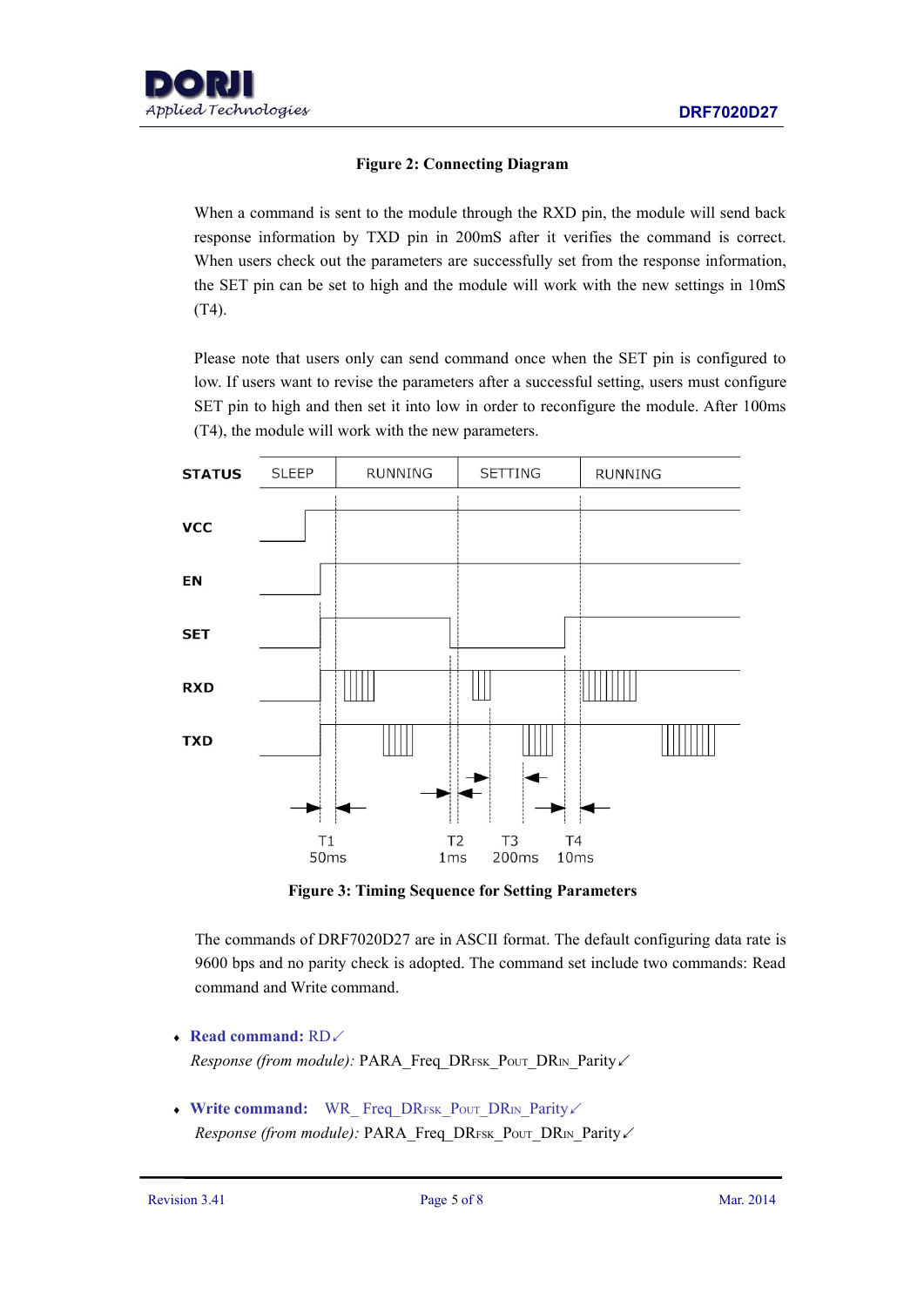#### **Figure 2: Connecting Diagram**

When a command is sent to the module through the RXD pin, the module will send back response information by TXD pin in 200mS after it verifies the command is correct. When users check out the parameters are successfully set from the response information, the SET pin can be set to high and the module will work with the new settings in 10mS (T4).

Please note that users only can send command once when the SET pin is configured to low. If users want to revise the parameters after a successful setting, users must configure SET pin to high and then set it into low in order to reconfigure the module. After 100ms (T4), the module will work with the new parameters.



**Figure 3: Timing Sequence for Setting Parameters**

The commands of DRF7020D27 are in ASCII format. The default configuring data rate is 9600 bps and no parity check is adopted. The command set include two commands: Read command and Write command.

**Read command:** RD↙

*Response (from module):* PARA\_Freq\_DRFSK\_PouT\_DRIN\_Parity∠

◆ Write command: WR\_ Freq\_DRFSK\_Pout\_DR<sub>IN\_P</sub>arity∠ *Response (from module):* PARA\_Freq\_DRFSK\_PouT\_DRIN\_Parity∠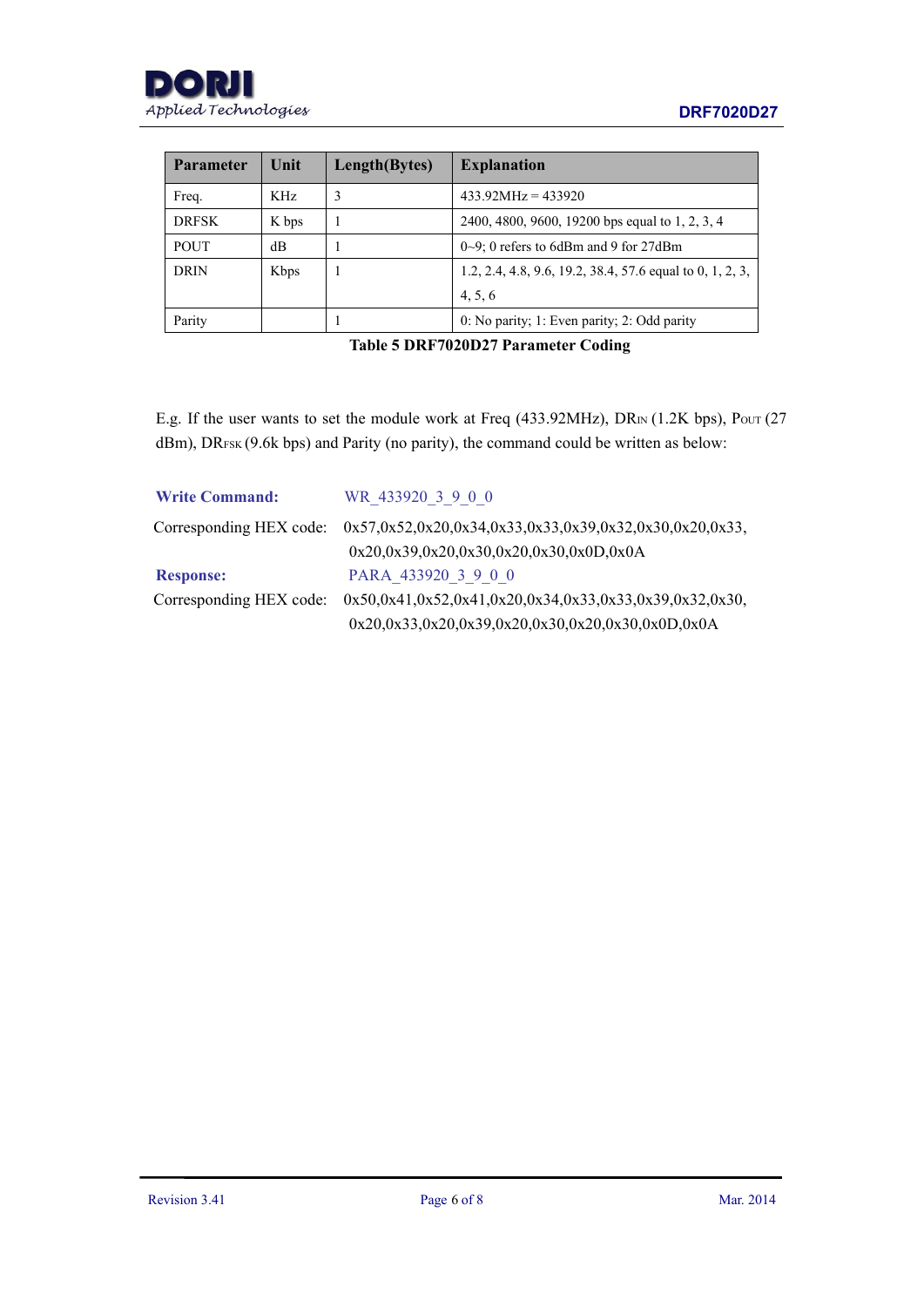| <b>Parameter</b> | Unit        | Length(Bytes) | <b>Explanation</b>                                        |
|------------------|-------------|---------------|-----------------------------------------------------------|
| Freq.            | KHz         | 3             | $433.92 MHz = 433920$                                     |
| <b>DRFSK</b>     | K bps       |               | 2400, 4800, 9600, 19200 bps equal to 1, 2, 3, 4           |
| <b>POUT</b>      | $\text{dB}$ |               | $0\sim9$ ; 0 refers to 6dBm and 9 for 27dBm               |
| <b>DRIN</b>      | Kbps        |               | 1.2, 2.4, 4.8, 9.6, 19.2, 38.4, 57.6 equal to 0, 1, 2, 3, |
|                  |             |               | 4, 5, 6                                                   |
| Parity           |             |               | 0: No parity; 1: Even parity; 2: Odd parity               |

**Table 5 DRF7020D27 Parameter Coding**

E.g. If the user wants to set the module work at Freq (433.92MHz), DR<sub>IN</sub> (1.2K bps), Pout (27 dBm), DRFSK (9.6k bps) and Parity (no parity), the command could be written as below:

| <b>Write Command:</b> | WR 433920 3 9 0 0                                                               |
|-----------------------|---------------------------------------------------------------------------------|
|                       | Corresponding HEX code: 0x57,0x52,0x20,0x34,0x33,0x33,0x39,0x32,0x30,0x20,0x33, |
|                       | $0x20,0x39,0x20,0x30,0x20,0x30,0x0D,0x0A$                                       |
| <b>Response:</b>      | PARA 433920 3 9 0 0                                                             |
|                       | Corresponding HEX code: 0x50,0x41,0x52,0x41,0x20,0x34,0x33,0x33,0x39,0x32,0x30, |
|                       | $0x20,0x33,0x20,0x39,0x20,0x30,0x20,0x30,0x0D,0x0A$                             |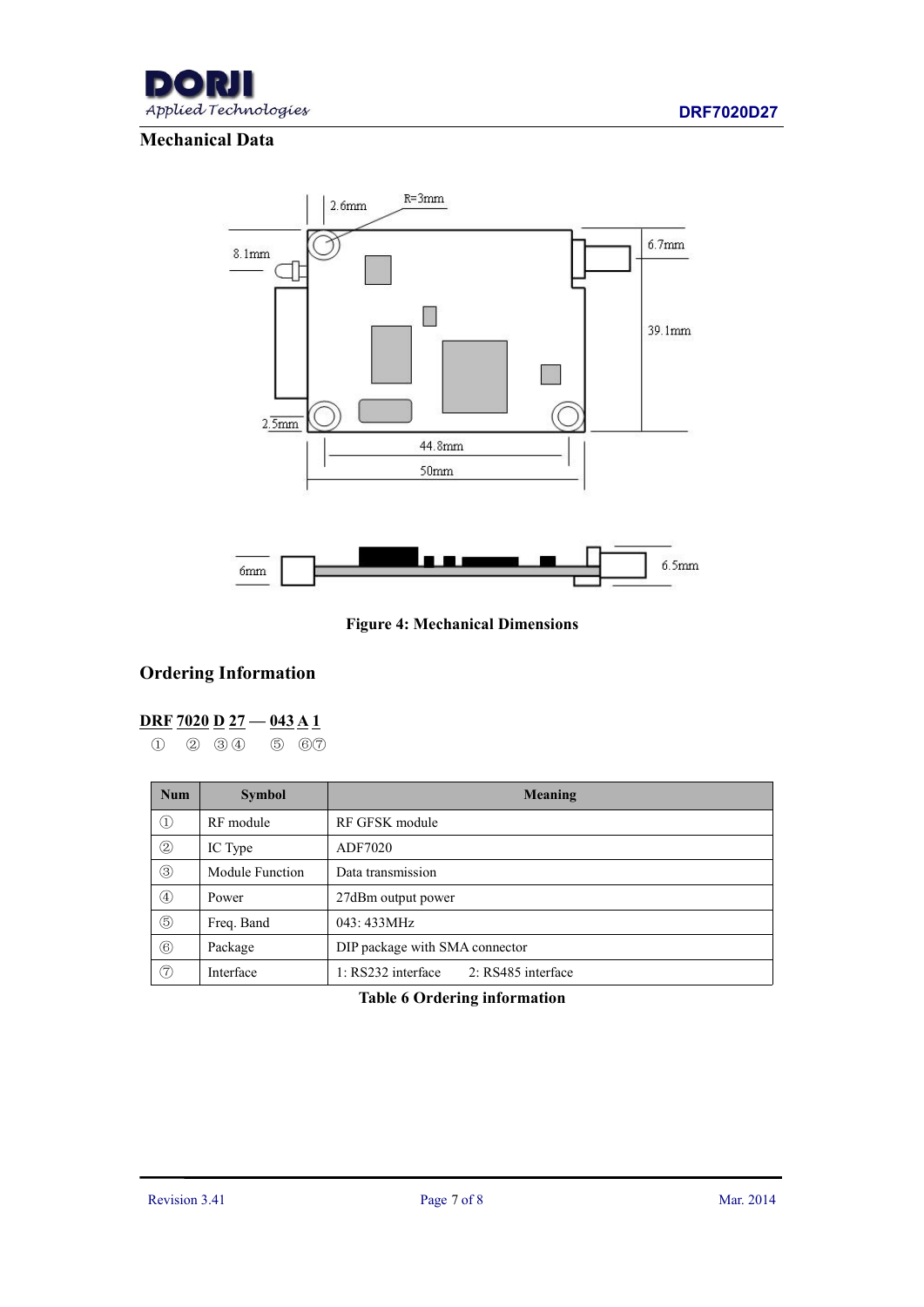

## **Mechanical Data**



**Figure 4: Mechanical Dimensions**

# **Ordering Information**

### **DRF 7020 D 27 — 043 A 1**

① ② ③ ④ ⑤ ⑥⑦

| <b>Num</b>     | <b>Symbol</b>   | Meaning                                  |
|----------------|-----------------|------------------------------------------|
| $\odot$        | RF module       | RF GFSK module                           |
| $\circled{2}$  | IC Type         | ADF7020                                  |
| $\circled{3}$  | Module Function | Data transmission                        |
| $\circled{4}$  | Power           | 27dBm output power                       |
| $\circledS$    | Freq. Band      | 043: 433MHz                              |
| $\circledcirc$ | Package         | DIP package with SMA connector           |
| $\circledcirc$ | Interface       | 1: RS232 interface<br>2: RS485 interface |

### **Table 6 Ordering information**